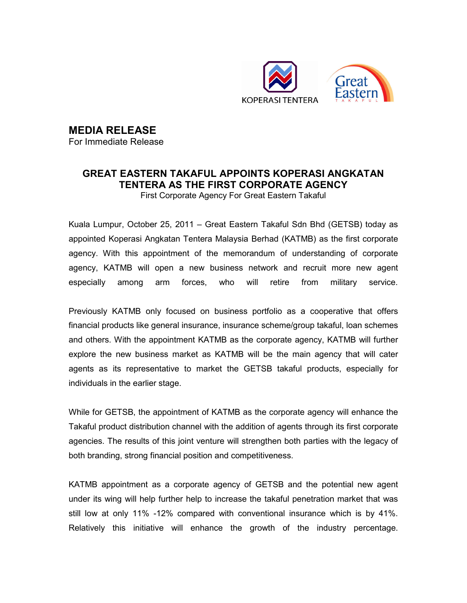

## MEDIA RELEASE

For Immediate Release

## GREAT EASTERN TAKAFUL APPOINTS KOPERASI ANGKATAN TENTERA AS THE FIRST CORPORATE AGENCY

First Corporate Agency For Great Eastern Takaful

Kuala Lumpur, October 25, 2011 – Great Eastern Takaful Sdn Bhd (GETSB) today as appointed Koperasi Angkatan Tentera Malaysia Berhad (KATMB) as the first corporate agency. With this appointment of the memorandum of understanding of corporate agency, KATMB will open a new business network and recruit more new agent especially among arm forces, who will retire from military service.

Previously KATMB only focused on business portfolio as a cooperative that offers financial products like general insurance, insurance scheme/group takaful, loan schemes and others. With the appointment KATMB as the corporate agency, KATMB will further explore the new business market as KATMB will be the main agency that will cater agents as its representative to market the GETSB takaful products, especially for individuals in the earlier stage.

While for GETSB, the appointment of KATMB as the corporate agency will enhance the Takaful product distribution channel with the addition of agents through its first corporate agencies. The results of this joint venture will strengthen both parties with the legacy of both branding, strong financial position and competitiveness.

KATMB appointment as a corporate agency of GETSB and the potential new agent under its wing will help further help to increase the takaful penetration market that was still low at only 11% -12% compared with conventional insurance which is by 41%. Relatively this initiative will enhance the growth of the industry percentage.